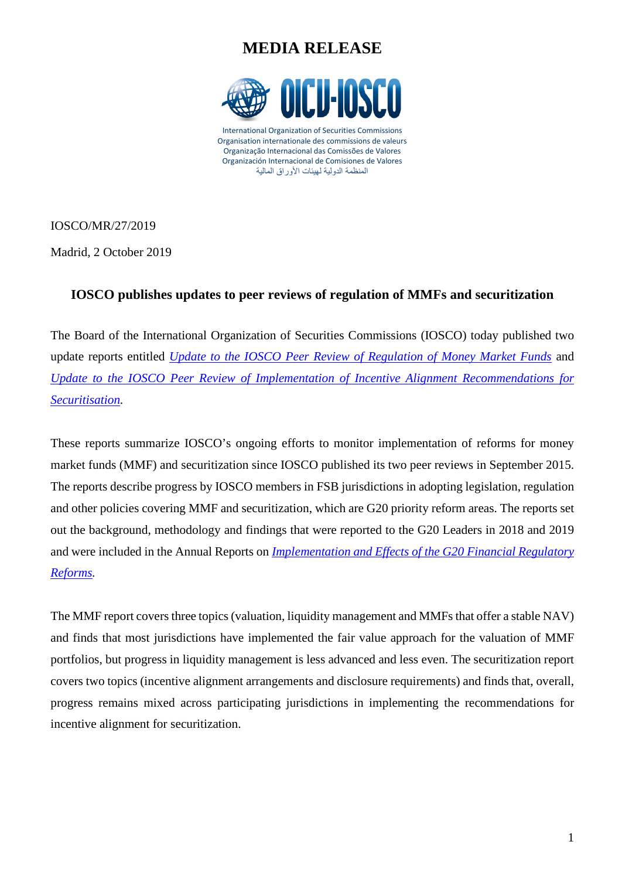## **MEDIA RELEASE**



IOSCO/MR/27/2019

Madrid, 2 October 2019

## **IOSCO publishes updates to peer reviews of regulation of MMFs and securitization**

The Board of the International Organization of Securities Commissions (IOSCO) today published two update reports entitled *[Update to the IOSCO Peer Review of Regulation of Money Market](https://www.iosco.org/library/pubdocs/pdf/IOSCOPD640.pdf) Funds* and *[Update to the IOSCO Peer Review of Implementation of Incentive Alignment Recommendations for](https://www.iosco.org/library/pubdocs/pdf/IOSCOPD641.pdf)  [Securitisation.](https://www.iosco.org/library/pubdocs/pdf/IOSCOPD641.pdf)*

These reports summarize IOSCO's ongoing efforts to monitor implementation of reforms for money market funds (MMF) and securitization since IOSCO published its two peer reviews in September 2015. The reports describe progress by IOSCO members in FSB jurisdictions in adopting legislation, regulation and other policies covering MMF and securitization, which are G20 priority reform areas. The reports set out the background, methodology and findings that were reported to the G20 Leaders in 2018 and 2019 and were included in the Annual Reports on *[Implementation and Effects of the G20 Financial Regulatory](https://www.fsb.org/2018/11/implementation-and-effects-of-the-g20-financial-regulatory-reforms-fourth-annual-report/)  [Reforms.](https://www.fsb.org/2018/11/implementation-and-effects-of-the-g20-financial-regulatory-reforms-fourth-annual-report/)*

The MMF report covers three topics (valuation, liquidity management and MMFs that offer a stable NAV) and finds that most jurisdictions have implemented the fair value approach for the valuation of MMF portfolios, but progress in liquidity management is less advanced and less even. The securitization report covers two topics (incentive alignment arrangements and disclosure requirements) and finds that, overall, progress remains mixed across participating jurisdictions in implementing the recommendations for incentive alignment for securitization.